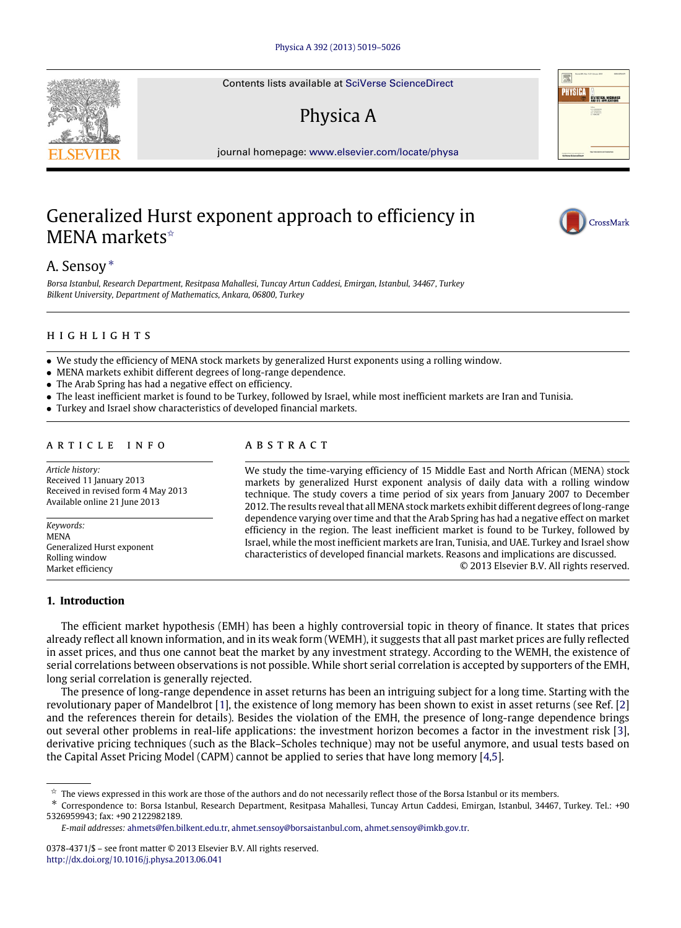Contents lists available at [SciVerse ScienceDirect](http://www.elsevier.com/locate/physa)

# Physica A

journal homepage: [www.elsevier.com/locate/physa](http://www.elsevier.com/locate/physa)

## Generalized Hurst exponent approach to efficiency in MENA markets<sup>☆</sup>



*Borsa Istanbul, Research Department, Resitpasa Mahallesi, Tuncay Artun Caddesi, Emirgan, Istanbul, 34467, Turkey Bilkent University, Department of Mathematics, Ankara, 06800, Turkey*

#### h i g h l i g h t s

- We study the efficiency of MENA stock markets by generalized Hurst exponents using a rolling window.
- MENA markets exhibit different degrees of long-range dependence.
- The Arab Spring has had a negative effect on efficiency.
- The least inefficient market is found to be Turkey, followed by Israel, while most inefficient markets are Iran and Tunisia.
- Turkey and Israel show characteristics of developed financial markets.

#### a r t i c l e i n f o

*Article history:* Received 11 January 2013 Received in revised form 4 May 2013 Available online 21 June 2013

*Keywords:* MENA Generalized Hurst exponent Rolling window Market efficiency

### a b s t r a c t

We study the time-varying efficiency of 15 Middle East and North African (MENA) stock markets by generalized Hurst exponent analysis of daily data with a rolling window technique. The study covers a time period of six years from January 2007 to December 2012. The results reveal that all MENA stock markets exhibit different degrees of long-range dependence varying over time and that the Arab Spring has had a negative effect on market efficiency in the region. The least inefficient market is found to be Turkey, followed by Israel, while the most inefficient markets are Iran, Tunisia, and UAE. Turkey and Israel show characteristics of developed financial markets. Reasons and implications are discussed. © 2013 Elsevier B.V. All rights reserved.

**1. Introduction**

The efficient market hypothesis (EMH) has been a highly controversial topic in theory of finance. It states that prices already reflect all known information, and in its weak form (WEMH), it suggests that all past market prices are fully reflected in asset prices, and thus one cannot beat the market by any investment strategy. According to the WEMH, the existence of serial correlations between observations is not possible. While short serial correlation is accepted by supporters of the EMH, long serial correlation is generally rejected.

The presence of long-range dependence in asset returns has been an intriguing subject for a long time. Starting with the revolutionary paper of Mandelbrot [\[1\]](#page--1-0), the existence of long memory has been shown to exist in asset returns (see Ref. [\[2\]](#page--1-1) and the references therein for details). Besides the violation of the EMH, the presence of long-range dependence brings out several other problems in real-life applications: the investment horizon becomes a factor in the investment risk [\[3\]](#page--1-2), derivative pricing techniques (such as the Black–Scholes technique) may not be useful anymore, and usual tests based on the Capital Asset Pricing Model (CAPM) cannot be applied to series that have long memory [\[4](#page--1-3)[,5\]](#page--1-4).





CrossMark

<span id="page-0-0"></span> $\hat{\mathbf{x}}$  The views expressed in this work are those of the authors and do not necessarily reflect those of the Borsa Istanbul or its members.

<span id="page-0-1"></span><sup>∗</sup> Correspondence to: Borsa Istanbul, Research Department, Resitpasa Mahallesi, Tuncay Artun Caddesi, Emirgan, Istanbul, 34467, Turkey. Tel.: +90 5326959943; fax: +90 2122982189.

*E-mail addresses:* [ahmets@fen.bilkent.edu.tr,](mailto:ahmets@fen.bilkent.edu.tr) [ahmet.sensoy@borsaistanbul.com,](mailto:ahmet.sensoy@borsaistanbul.com) [ahmet.sensoy@imkb.gov.tr.](mailto:ahmet.sensoy@imkb.gov.tr)

<sup>0378-4371/\$ –</sup> see front matter © 2013 Elsevier B.V. All rights reserved. <http://dx.doi.org/10.1016/j.physa.2013.06.041>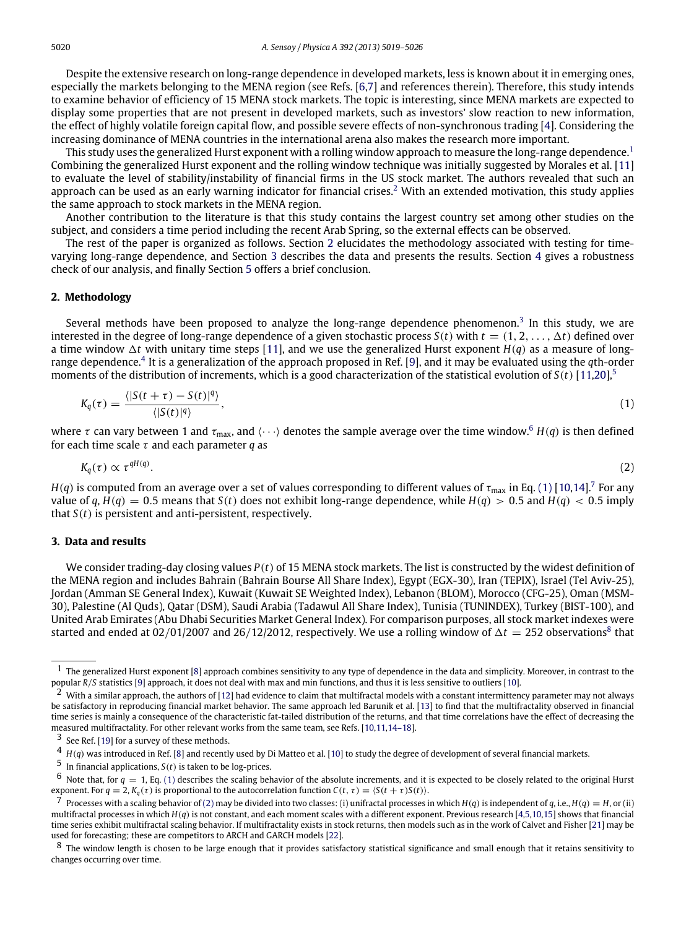Despite the extensive research on long-range dependence in developed markets, less is known about it in emerging ones, especially the markets belonging to the MENA region (see Refs. [\[6](#page--1-5)[,7\]](#page--1-6) and references therein). Therefore, this study intends to examine behavior of efficiency of 15 MENA stock markets. The topic is interesting, since MENA markets are expected to display some properties that are not present in developed markets, such as investors' slow reaction to new information, the effect of highly volatile foreign capital flow, and possible severe effects of non-synchronous trading [\[4\]](#page--1-3). Considering the increasing dominance of MENA countries in the international arena also makes the research more important.

This study uses the generalized Hurst exponent with a rolling window approach to measure the long-range dependence.<sup>[1](#page-1-0)</sup> Combining the generalized Hurst exponent and the rolling window technique was initially suggested by Morales et al. [\[11\]](#page--1-7) to evaluate the level of stability/instability of financial firms in the US stock market. The authors revealed that such an approach can be used as an early warning indicator for financial crises.<sup>[2](#page-1-1)</sup> With an extended motivation, this study applies the same approach to stock markets in the MENA region.

Another contribution to the literature is that this study contains the largest country set among other studies on the subject, and considers a time period including the recent Arab Spring, so the external effects can be observed.

The rest of the paper is organized as follows. Section [2](#page-1-2) elucidates the methodology associated with testing for timevarying long-range dependence, and Section [3](#page-1-3) describes the data and presents the results. Section [4](#page--1-8) gives a robustness check of our analysis, and finally Section [5](#page--1-9) offers a brief conclusion.

#### <span id="page-1-2"></span>**2. Methodology**

Several methods have been proposed to analyze the long-range dependence phenomenon.<sup>[3](#page-1-4)</sup> In this study, we are interested in the degree of long-range dependence of a given stochastic process  $S(t)$  with  $t = (1, 2, \ldots, \Delta t)$  defined over a time window  $\Delta t$  with unitary time steps [\[11\]](#page--1-7), and we use the generalized Hurst exponent  $H(q)$  as a measure of long-range dependence.<sup>[4](#page-1-5)</sup> It is a generalization of the approach proposed in Ref. [\[9\]](#page--1-10), and it may be evaluated using the qth-order moments of the distribution of increments, which is a good characterization of the statistical evolution of *S*(*t*) [\[11](#page--1-7)[,20\]](#page--1-11),[5](#page-1-6)

<span id="page-1-8"></span>
$$
K_q(\tau) = \frac{\langle |S(t+\tau) - S(t)|^q \rangle}{\langle |S(t)|^q \rangle},\tag{1}
$$

where  $\tau$  can vary between 1 and  $\tau_{\text{max}}$ , and  $\langle \cdot \cdot \cdot \rangle$  denotes the sample average over the time window.<sup>[6](#page-1-7)</sup>  $H(q)$  is then defined for each time scale τ and each parameter *q* as

<span id="page-1-11"></span>
$$
K_q(\tau) \propto \tau^{qH(q)}.\tag{2}
$$

 $H(q)$  is computed from an average over a set of values corresponding to different values of  $\tau_{\rm max}$  in Eq. [\(1\)](#page-1-8) [\[10](#page--1-12)[,14\]](#page--1-13).<sup>[7](#page-1-9)</sup> For any value of  $q$ ,  $H(q) = 0.5$  means that  $S(t)$  does not exhibit long-range dependence, while  $H(q) > 0.5$  and  $H(q) < 0.5$  imply that *S*(*t*) is persistent and anti-persistent, respectively.

#### <span id="page-1-3"></span>**3. Data and results**

We consider trading-day closing values *P*(*t*) of 15 MENA stock markets. The list is constructed by the widest definition of the MENA region and includes Bahrain (Bahrain Bourse All Share Index), Egypt (EGX-30), Iran (TEPIX), Israel (Tel Aviv-25), Jordan (Amman SE General Index), Kuwait (Kuwait SE Weighted Index), Lebanon (BLOM), Morocco (CFG-25), Oman (MSM-30), Palestine (Al Quds), Qatar (DSM), Saudi Arabia (Tadawul All Share Index), Tunisia (TUNINDEX), Turkey (BIST-100), and United Arab Emirates (Abu Dhabi Securities Market General Index). For comparison purposes, all stock market indexes were started and ended at 02/01/2007 and 26/12/2012, respectively. We use a rolling window of  $\Delta t = 252$  observations<sup>[8](#page-1-10)</sup> that

<span id="page-1-0"></span> $<sup>1</sup>$  The generalized Hurst exponent [\[8\]](#page--1-14) approach combines sensitivity to any type of dependence in the data and simplicity. Moreover, in contrast to the</sup> popular *R*/*S* statistics [\[9\]](#page--1-10) approach, it does not deal with max and min functions, and thus it is less sensitive to outliers [\[10\]](#page--1-12).

<span id="page-1-1"></span><sup>2</sup> With a similar approach, the authors of [\[12\]](#page--1-15) had evidence to claim that multifractal models with a constant intermittency parameter may not always be satisfactory in reproducing financial market behavior. The same approach led Barunik et al. [\[13\]](#page--1-16) to find that the multifractality observed in financial time series is mainly a consequence of the characteristic fat-tailed distribution of the returns, and that time correlations have the effect of decreasing the measured multifractality. For other relevant works from the same team, see Refs. [\[10,](#page--1-12)[11](#page--1-7)[,14–18\]](#page--1-13).

<span id="page-1-4"></span> $3$  See Ref. [\[19\]](#page--1-17) for a survey of these methods.

<span id="page-1-5"></span> $4$   $H(q)$  was introduced in Ref. [\[8\]](#page--1-14) and recently used by Di Matteo et al. [\[10\]](#page--1-12) to study the degree of development of several financial markets.

<span id="page-1-6"></span><sup>5</sup> In financial applications, *<sup>S</sup>*(*t*) is taken to be log-prices.

<span id="page-1-7"></span> $6$  Note that, for  $q = 1$ , Eq. [\(1\)](#page-1-8) describes the scaling behavior of the absolute increments, and it is expected to be closely related to the original Hurst exponent. For  $q = 2$ ,  $K_q(\tau)$  is proportional to the autocorrelation function  $C(t, \tau) = \langle S(t + \tau)S(t) \rangle$ .

<span id="page-1-9"></span> $^7$  Processes with a scaling behavior of [\(2\)](#page-1-11) may be divided into two classes: (i) unifractal processes in which  $H(q)$  is independent of q, i.e.,  $H(q) = H$ , or (ii) multifractal processes in which *H*(*q*) is not constant, and each moment scales with a different exponent. Previous research [\[4](#page--1-3)[,5](#page--1-4)[,10,](#page--1-12)[15\]](#page--1-18) shows that financial time series exhibit multifractal scaling behavior. If multifractality exists in stock returns, then models such as in the work of Calvet and Fisher [\[21\]](#page--1-19) may be used for forecasting; these are competitors to ARCH and GARCH models [\[22\]](#page--1-20).

<span id="page-1-10"></span><sup>8</sup> The window length is chosen to be large enough that it provides satisfactory statistical significance and small enough that it retains sensitivity to changes occurring over time.